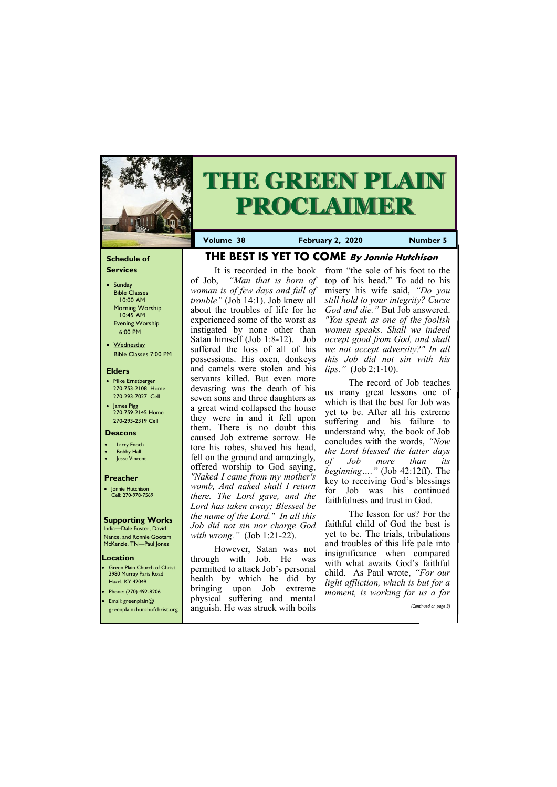#### **Schedule of Services**

- Sunday Bible Classes 10:00 AM Morning Worship 10:45 AM Evening Worship 6:00 PM
- Wednesday Bible Classes 7:00 PM

#### **Elders**

**Green Plain Church of Christ** 3980 Murray Paris Road Hazel, KY 42049 • Phone: (270) 492-8206

- Mike Ernstberger 270-753-2108 Home 270-293-7027 Cell
- James Pigg 270-759-2145 Home 270-293-2319 Cell



# **THE GREEN PLAIN PROCLAIMER**

#### **Location**

**Volume 38 February 2, 2020 Number 5**

#### **Deacons**

- **Larry Enoch**
- **Bobby Hall**
- Jesse Vincent

#### **Preacher**

• Jonnie Hutchison Cell: 270-978-7569

#### **Supporting Works**

India—Dale Foster, David Nance. and Ronnie Gootam McKenzie, TN—Paul Jones

**THE BEST IS YET TO COME By Jonnie Hutchison**

It is recorded in the book of Job, *"Man that is born of woman is of few days and full of trouble"* (Job 14:1). Job knew all about the troubles of life for he experienced some of the worst as instigated by none other than Satan himself (Job 1:8-12). Job suffered the loss of all of his possessions. His oxen, donkeys and camels were stolen and his servants killed. But even more devasting was the death of his seven sons and three daughters as a great wind collapsed the house they were in and it fell upon them. There is no doubt this caused Job extreme sorrow. He tore his robes, shaved his head, fell on the ground and amazingly, offered worship to God saying, *"Naked I came from my mother's womb, And naked shall I return there. The Lord gave, and the Lord has taken away; Blessed be the name of the Lord." In all this Job did not sin nor charge God with wrong."* (Job 1:21-22).

| Email: greenplain@           | physical suffering and mental     | moment, is working for us a fur- |
|------------------------------|-----------------------------------|----------------------------------|
| greenplainchurchofchrist.org | anguish. He was struck with boils | (Continued on page 3)            |
|                              |                                   |                                  |

However, Satan was not through with Job. He was permitted to attack Job's personal health by which he did by bringing upon Job extreme

from "the sole of his foot to the top of his head." To add to his misery his wife said, *"Do you still hold to your integrity? Curse God and die."* But Job answered. *"You speak as one of the foolish women speaks. Shall we indeed accept good from God, and shall we not accept adversity?" In all this Job did not sin with his lips."* (Job 2:1-10).

The record of Job teaches us many great lessons one of which is that the best for Job was yet to be. After all his extreme suffering and his failure to understand why, the book of Job concludes with the words, *"Now the Lord blessed the latter days of Job more than its beginning…."* (Job 42:12ff). The key to receiving God's blessings for Job was his continued faithfulness and trust in God.

The lesson for us? For the faithful child of God the best is yet to be. The trials, tribulations and troubles of this life pale into insignificance when compared with what awaits God's faithful child. As Paul wrote, *"For our light affliction, which is but for a moment, is working for us a far*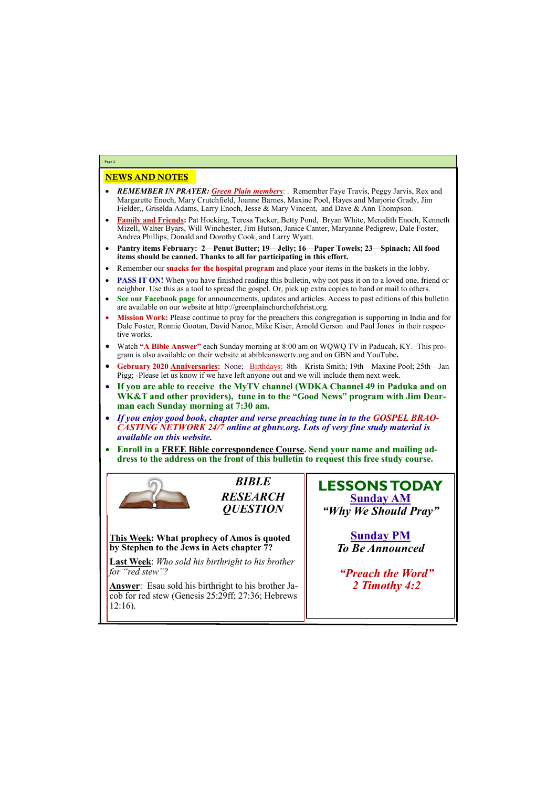## NEWS AND NOTES

- *REMEMBER IN PRAYER: Green Plain members*: . Remember Faye Travis, Peggy Jarvis, Rex and Margarette Enoch, Mary Crutchfield, Joanne Barnes, Maxine Pool, Hayes and Marjorie Grady, Jim Fielder,, Griselda Adams, Larry Enoch, Jesse & Mary Vincent, and Dave & Ann Thompson.
- **Family and Friends:** Pat Hocking, Teresa Tacker, Betty Pond, Bryan White, Meredith Enoch, Kenneth Mizell, Walter Byars, Will Winchester, Jim Hutson, Janice Canter, Maryanne Pedigrew, Dale Foster, Andrea Phillips, Donald and Dorothy Cook, and Larry Wyatt.
- **Pantry items February: 2—Penut Butter; 19—Jelly; 16—Paper Towels; 23—Spinach; All food items should be canned. Thanks to all for participating in this effort.**
- Remember our **snacks for the hospital program** and place your items in the baskets in the lobby.
- **PASS IT ON!** When you have finished reading this bulletin, why not pass it on to a loved one, friend or neighbor. Use this as a tool to spread the gospel. Or, pick up extra copies to hand or mail to others.
- **See our Facebook page** for announcements, updates and articles. Access to past editions of this bulletin are available on our website at http://greenplainchurchofchrist.org.
- **Mission Work:** Please continue to pray for the preachers this congregation is supporting in India and for Dale Foster, Ronnie Gootan, David Nance, Mike Kiser, Arnold Gerson and Paul Jones in their respective works.
- Watch **"A Bible Answer"** each Sunday morning at 8:00 am on WQWQ TV in Paducah, KY. This program is also available on their website at abibleanswertv.org and on GBN and YouTube**.**
- **Gebruary 2020 Anniversaries:** None; Birthdays: 8th—Krista Smith; 19th—Maxine Pool; 25th—Jan Pigg; -Please let us know if we have left anyone out and we will include them next week.
- **If you are able to receive the MyTV channel (WDKA Channel 49 in Paduka and on WK&T and other providers), tune in to the "Good News" program with Jim Dearman each Sunday morning at 7:30 am.**
- *If you enjoy good book, chapter and verse preaching tune in to the GOSPEL BRAO-CASTING NETWORK 24/7 online at gbntv.org. Lots of very fine study material is available on this website.*
- **Enroll in a FREE Bible correspondence Course. Send your name and mailing address to the address on the front of this bulletin to request this free study course.**



**Page 2**

*BIBLE RESEARCH QUESTION*

**This Week: What prophecy of Amos is quoted by Stephen to the Jews in Acts chapter 7?**

**Last Week**: *Who sold his birthright to his brother for "red stew"?*

**Answer**: Esau sold his birthright to his brother Ja-

| $\vert$ cob for red stew (Genesis 25:29ff; 27:36; Hebrews |  |
|-----------------------------------------------------------|--|
| $12:16$ ).                                                |  |
|                                                           |  |
|                                                           |  |

**LESSONS TODAY Sunday AM** *"Why We Should Pray"*

> **Sunday PM** *To Be Announced*

*"Preach the Word" 2 Timothy 4:2*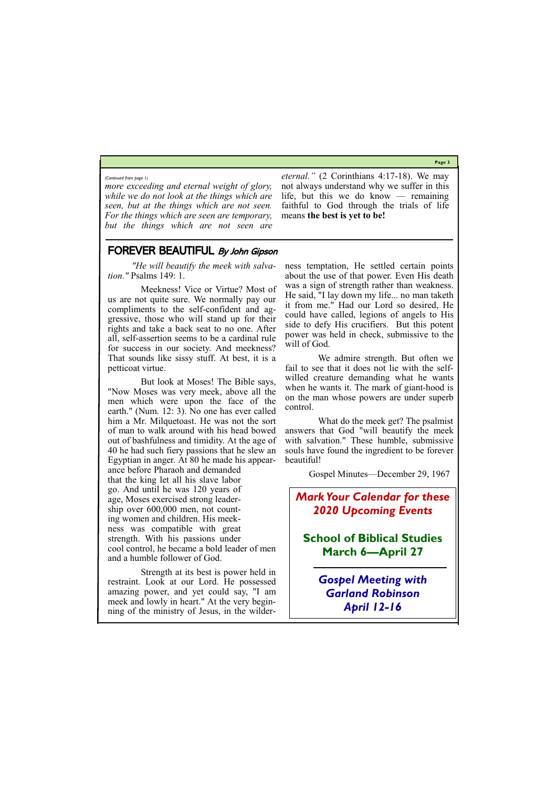**Page 3**

*more exceeding and eternal weight of glory, while we do not look at the things which are seen, but at the things which are not seen. For the things which are seen are temporary, but the things which are not seen are* 

*eternal."* (2 Corinthians 4:17-18). We may not always understand why we suffer in this life, but this we do know — remaining faithful to God through the trials of life means **the best is yet to be!**

*(Continued from page 1)*

FOREVER BEAUTIFUL By John Gipson

*"He will beautify the meek with salvation."* Psalms 149: 1.

 Meekness! Vice or Virtue? Most of us are not quite sure. We normally pay our compliments to the self-confident and aggressive, those who will stand up for their rights and take a back seat to no one. After all, self-assertion seems to be a cardinal rule for success in our society. And meekness? That sounds like sissy stuff. At best, it is a petticoat virtue.

 But look at Moses! The Bible says, "Now Moses was very meek, above all the men which were upon the face of the earth." (Num. 12: 3). No one has ever called him a Mr. Milquetoast. He was not the sort of man to walk around with his head bowed out of bashfulness and timidity. At the age of 40 he had such fiery passions that he slew an Egyptian in anger. At 80 he made his appearance before Pharaoh and demanded that the king let all his slave labor go. And until he was 120 years of age, Moses exercised strong leadership over 600,000 men, not counting women and children. His meekness was compatible with great strength. With his passions under cool control, he became a bold leader of men and a humble follower of God.

 Strength at its best is power held in restraint. Look at our Lord. He possessed amazing power, and yet could say, "I am meek and lowly in heart." At the very beginning of the ministry of Jesus, in the wilder-

ness temptation, He settled certain points about the use of that power. Even His death was a sign of strength rather than weakness. He said, "I lay down my life... no man taketh it from me." Had our Lord so desired, He could have called, legions of angels to His side to defy His crucifiers. But this potent power was held in check, submissive to the will of God.

 We admire strength. But often we fail to see that it does not lie with the selfwilled creature demanding what he wants when he wants it. The mark of giant-hood is on the man whose powers are under superb control.

 What do the meek get? The psalmist answers that God "will beautify the meek with salvation." These humble, submissive souls have found the ingredient to be forever beautiful!

Gospel Minutes—December 29, 1967

### *Mark Your Calendar for these 2020 Upcoming Events*

**School of Biblical Studies March 6—April 27**

> *Gospel Meeting with Garland Robinson April 12-16*